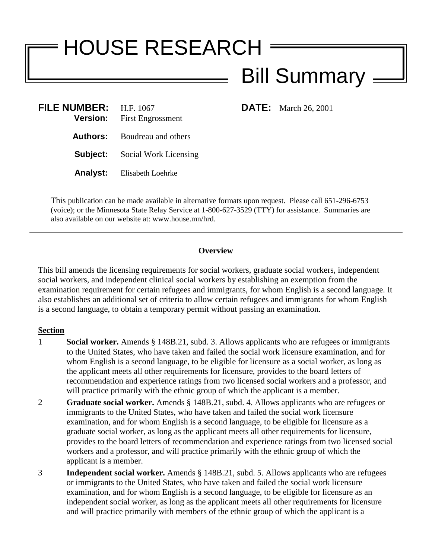## HOUSE RESEARCH

## Bill Summary

| FILE NUMBER: $H.F. 1067$ | <b>Version:</b> First Engrossment     |
|--------------------------|---------------------------------------|
|                          | <b>Authors:</b> Boudreau and others   |
|                          | <b>Subject:</b> Social Work Licensing |
|                          | <b>Analyst:</b> Elisabeth Loehrke     |

**FILE:** March 26, 2001

This publication can be made available in alternative formats upon request. Please call 651-296-6753 (voice); or the Minnesota State Relay Service at 1-800-627-3529 (TTY) for assistance. Summaries are also available on our website at: www.house.mn/hrd.

## **Overview**

This bill amends the licensing requirements for social workers, graduate social workers, independent social workers, and independent clinical social workers by establishing an exemption from the examination requirement for certain refugees and immigrants, for whom English is a second language. It also establishes an additional set of criteria to allow certain refugees and immigrants for whom English is a second language, to obtain a temporary permit without passing an examination.

## **Section**

- 1 **Social worker.** Amends § 148B.21, subd. 3. Allows applicants who are refugees or immigrants to the United States, who have taken and failed the social work licensure examination, and for whom English is a second language, to be eligible for licensure as a social worker, as long as the applicant meets all other requirements for licensure, provides to the board letters of recommendation and experience ratings from two licensed social workers and a professor, and will practice primarily with the ethnic group of which the applicant is a member.
- 2 **Graduate social worker.** Amends § 148B.21, subd. 4. Allows applicants who are refugees or immigrants to the United States, who have taken and failed the social work licensure examination, and for whom English is a second language, to be eligible for licensure as a graduate social worker, as long as the applicant meets all other requirements for licensure, provides to the board letters of recommendation and experience ratings from two licensed social workers and a professor, and will practice primarily with the ethnic group of which the applicant is a member.
- 3 **Independent social worker.** Amends § 148B.21, subd. 5. Allows applicants who are refugees or immigrants to the United States, who have taken and failed the social work licensure examination, and for whom English is a second language, to be eligible for licensure as an independent social worker, as long as the applicant meets all other requirements for licensure and will practice primarily with members of the ethnic group of which the applicant is a